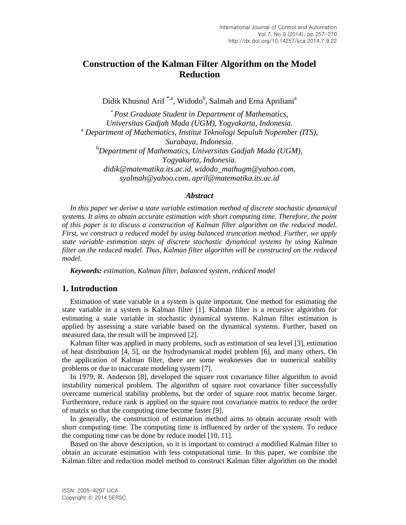# **Construction of the Kalman Filter Algorithm on the Model Reduction**

Didik Khusnul Arif<sup>\*,a</sup>, Widodo<sup>b</sup>, Salmah and Erna Apriliani<sup>a</sup>

\**Post Graduate Student in Department of Mathematics, Universitas Gadjah Mada (UGM), Yogyakarta, Indonesia.* <sup>a</sup> *Department of Mathematics, Institut Teknologi Sepuluh Nopember (ITS), Surabaya, Indonesia.* <sup>b</sup>*Department of Mathematics, Universitas Gadjah Mada (UGM), Yogyakarta, Indonesia. [didik@matematika.its.ac.id](mailto:didik@matematika.its.ac.id)*, *widodo\_mathugm@yahoo.com*, *syalmah@yahoo.com*, *april@matematika.its.ac.id*

#### *Abstract*

In this paper we derive a state variable estimation method of discrete stochastic dynamical *systems. It aims to obtain accurate estimation with short computing time. Therefore, the point of this paper is to discuss a construction of Kalman filter algorithm on the reduced model. First, we construct a reduced model by using balanced truncation method. Further, we apply state variable estimation steps of discrete stochastic dynamical systems by using Kalman filter on the reduced model. Thus, Kalman filter algorithm will be constructed on the reduced model.*

*Keywords: estimation, Kalman filter, balanced system, reduced model*

## **1. Introduction**

Estimation of state variable in a system is quite important. One method for estimating the state variable in a system is Kalman filter [1]. Kalman filter is a recursive algorithm for estimating a state variable in stochastic dynamical systems. Kalman filter estimation is applied by assessing a state variable based on the dynamical systems. Further, based on measured data, the result will be improved [2].

Kalman filter was applied in many problems, such as estimation of sea level [3], estimation of heat distribution [4, 5], on the hydrodynamical model problem [6], and many others. On the application of Kalman filter, there are some weaknesses due to numerical stability problems or due to inaccurate modeling system [7].

In 1979, R. Anderson [8], developed the square root covariance filter algorithm to avoid instability numerical problem. The algorithm of square root covariance filter successfully overcame numerical stability problems, but the order of square root matrix become larger. Furthermore, reduce rank is applied on the square root covariance matrix to reduce the order of matrix so that the computing time become faster [9].

In generally, the construction of estimation method aims to obtain accurate result with short computing time. The computing time is influenced by order of the system. To reduce the computing time can be done by reduce model [10, 11].

Based on the above description, so it is important to construct a modified Kalman filter to obtain an accurate estimation with less computational time. In this paper, we combine the Kalman filter and reduction model method to construct Kalman filter algorithm on the model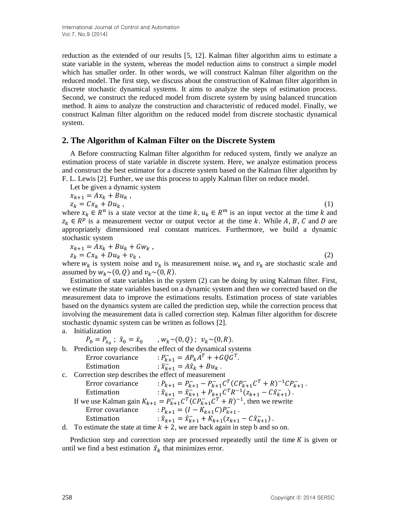reduction as the extended of our results [5, 12]. Kalman filter algorithm aims to estimate a state variable in the system, whereas the model reduction aims to construct a simple model which has smaller order. In other words, we will construct Kalman filter algorithm on the reduced model. The first step, we discuss about the construction of Kalman filter algorithm in discrete stochastic dynamical systems. It aims to analyze the steps of estimation process. Second, we construct the reduced model from discrete system by using balanced truncation method. It aims to analyze the construction and characteristic of reduced model. Finally, we construct Kalman filter algorithm on the reduced model from discrete stochastic dynamical system.

## **2. The Algorithm of Kalman Filter on the Discrete System**

A Before constructing Kalman filter algorithm for reduced system, firstly we analyze an estimation process of state variable in discrete system. Here, we analyze estimation process and construct the best estimator for a discrete system based on the Kalman filter algorithm by F. L. Lewis [2]. Further, we use this process to apply Kalman filter on reduce model.

Let be given a dynamic system

 $x_{k+1} = Ax_k + Bu_k$ ,  $z_k = Cx_k + Du_k$ , (1) where  $x_k \in R^n$  is a state vector at the time  $k, u_k \in R^m$  is an input vector at the time k and

 $z_k \in R^p$  is a measurement vector or output vector at the time k. While A, B, C and D are appropriately dimensioned real constant matrices. Furthermore, we build a dynamic stochastic system

$$
x_{k+1} = Ax_k + Bu_k + Gw_k,
$$

$$
z_k = Cx_k + Du_k + v_k \t\t(2)
$$

where  $w_k$  is system noise and  $v_k$  is measurement noise.  $w_k$  and  $v_k$  are stochastic scale and assumed by  $W_k \sim (0, Q)$  and  $v_k \sim (0, R)$ .

Estimation of state variables in the system (2) can be doing by using Kalman filter. First, we estimate the state variables based on a dynamic system and then we corrected based on the measurement data to improve the estimations results. Estimation process of state variables based on the dynamics system are called the prediction step, while the correction process that involving the measurement data is called correction step. Kalman filter algorithm for discrete stochastic dynamic system can be written as follows [2].

#### a. Initialization

 $P_0 = P_{x_0}$ ;  $\hat{x}_0 = \bar{x}_0$  $; w_k \sim (0, Q); v_k \sim (0, R).$ b. Prediction step describes the effect of the dynamical systems Error covariance  $R_{k+1} = AP_k A^T + + GQG^T.$ Estimation  $\hat{x}_{k+1} = A\hat{x}_k + Bu_k$ . c. Correction step describes the effect of measurement Error covariance :  $\bar{C}_{k+1} - P_{k+1}^{-} C^T (C P_{k+1}^{-} C^T + R)^{-1} C P_{k+1}^{-}$ Estimation  $: \hat{x}_{k+1} = \hat{x}_{k+1}^- + P_{k+1}C^T R^{-1} (z_{k+1} - C \hat{x}_{k+1}^-).$ If we use Kalman gain  $K_{k+1} = P_{k+1}^- C^T (C P_{k+1}^- C^T + R)^{-1}$ , then we rewrite Error covariance  $P_{k+1} = (I - K_{k+1}C)P_{k+1}$ . Estimation  $\hat{x}_{k+1} = \hat{x}_{k+1} + K_{k+1}(z_{k+1} - C\hat{x}_{k+1})$ .

d. To estimate the state at time  $k + 2$ , we are back again in step b and so on.

Prediction step and correction step are processed repeatedly until the time  $K$  is given or until we find a best estimation  $\hat{x}_k$  that minimizes error.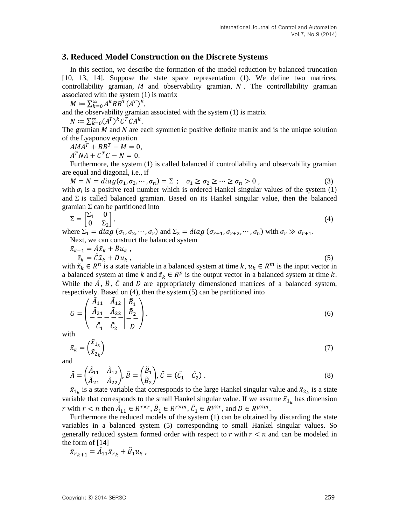#### **3. Reduced Model Construction on the Discrete Systems**

In this section, we describe the formation of the model reduction by balanced truncation [10, 13, 14]. Suppose the state space representation (1). We define two matrices, controllability gramian,  $M$  and observability gramian,  $N$ . The controllability gramian associated with the system (1) is matrix

 $M \coloneqq \sum_{k=0}^{\infty} A^k BB^T (A^T)^k,$ 

and the observability gramian associated with the system (1) is matrix

 $N \coloneqq \sum_{k=0}^{\infty} (A^T)^k C^T C A^k.$ 

The gramian  $M$  and  $N$  are each symmetric positive definite matrix and is the unique solution of the Lyapunov equation

 $AMA^{T} + BB^{T} - M = 0,$ 

 $A^T N A + C^T C - N = 0.$ 

Furthermore, the system (1) is called balanced if controllability and observability gramian are equal and diagonal, i.e., if

 $M = N = diag(\sigma_1, \sigma_2, \cdots, \sigma_n) = \Sigma; \quad \sigma_1 \ge \sigma_2 \ge \cdots \ge \sigma_n > 0$ , (3) with  $\sigma_i$  is a positive real number which is ordered Hankel singular values of the system (1) and  $\Sigma$  is called balanced gramian. Based on its Hankel singular value, then the balanced gramian  $\Sigma$  can be partitioned into

$$
\Sigma = \begin{bmatrix} \Sigma_1 & 0 \\ 0 & \Sigma_2 \end{bmatrix},\tag{4}
$$

where  $\Sigma_1 = diag(\sigma_1, \sigma_2, \cdots, \sigma_r)$  and  $\Sigma_2 = diag(\sigma_{r+1}, \sigma_{r+2}, \cdots, \sigma_n)$  with  $\sigma_r \gg \sigma_{r+1}$ . Next, we can construct the balanced system

$$
\begin{aligned}\n\tilde{x}_{k+1} &= \tilde{A}\tilde{x}_k + \tilde{B}u_k, \\
\tilde{z}_k &= \tilde{C}\tilde{x}_k + Du_k,\n\end{aligned} \tag{5}
$$

with  $\tilde{x}_k \in R^n$  is a state variable in a balanced system at time  $k, u_k \in R^m$  is the input vector in a balanced system at time k and  $\tilde{z}_k \in R^p$  is the output vector in a balanced system at time k. While the  $\tilde{A}$ ,  $\tilde{B}$ ,  $\tilde{C}$  and  $D$  are appropriately dimensioned matrices of a balanced system, respectively. Based on (4), then the system (5) can be partitioned into

$$
G = \begin{pmatrix} \tilde{A}_{11} & \tilde{A}_{12} & \tilde{B}_1 \\ \tilde{A}_{21} & \tilde{A}_{22} & \tilde{B}_2 \\ -\frac{2}{C_1} & \tilde{C}_2 & D \end{pmatrix}.
$$
 (6)

with

$$
\tilde{x}_k = \begin{pmatrix} \tilde{x}_{1_k} \\ \tilde{x}_{2_k} \end{pmatrix} \tag{7}
$$

and

$$
\tilde{A} = \begin{pmatrix} \tilde{A}_{11} & \tilde{A}_{12} \\ \tilde{A}_{21} & \tilde{A}_{22} \end{pmatrix}, \tilde{B} = \begin{pmatrix} \tilde{B}_1 \\ \tilde{B}_2 \end{pmatrix}, \tilde{C} = (\tilde{C}_1 \quad \tilde{C}_2). \tag{8}
$$

 $\tilde{x}_{1_k}$  is a state variable that corresponds to the large Hankel singular value and  $\tilde{x}_{2_k}$  is a state variable that corresponds to the small Hankel singular value. If we assume  $\tilde{x}_{1_k}$  has dimension r with  $r < n$  then  $\tilde{A}_{11} \in R^{r \times r}$ ,  $\tilde{B}_1 \in R^{r \times m}$ ,  $\tilde{C}_1 \in R^{p \times r}$ , and  $D \in R^{p \times m}$ .

Furthermore the reduced models of the system (1) can be obtained by discarding the state variables in a balanced system (5) corresponding to small Hankel singular values. So generally reduced system formed order with respect to  $r$  with  $r < n$  and can be modeled in the form of [14]

$$
\tilde{x}_{r_{k+1}} = \tilde{A}_{11}\tilde{x}_{r_k} + \tilde{B}_1 u_k,
$$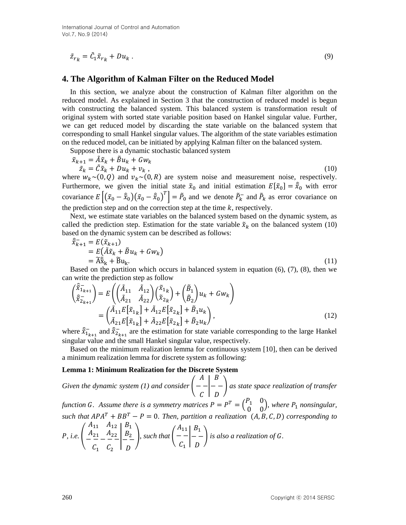$$
\tilde{z}_{r_k} = \tilde{C}_1 \tilde{x}_{r_k} + D u_k \tag{9}
$$

### **4. The Algorithm of Kalman Filter on the Reduced Model**

In this section, we analyze about the construction of Kalman filter algorithm on the reduced model. As explained in Section 3 that the construction of reduced model is begun with constructing the balanced system. This balanced system is transformation result of original system with sorted state variable position based on Hankel singular value. Further, we can get reduced model by discarding the state variable on the balanced system that corresponding to small Hankel singular values. The algorithm of the state variables estimation on the reduced model, can be initiated by applying Kalman filter on the balanced system.

Suppose there is a dynamic stochastic balanced system

$$
\tilde{x}_{k+1} = \tilde{A}\tilde{x}_k + \tilde{B}u_k + Gw_k \n\tilde{z}_k = \tilde{C}\tilde{x}_k + Du_k + v_k,
$$
\n(10)

where  $w_k \sim (0, Q)$  and  $v_k \sim (0, R)$  are system noise and measurement noise, respectively. Furthermore, we given the initial state  $\tilde{x}_0$  and initial estimation  $E[\tilde{x}_0] = \hat{\tilde{x}}_0$  with error covariance  $E[(\tilde{x}_0 - \hat{x}_0)(\tilde{x}_0 - \hat{x}_0)^T] = \tilde{P}_0$  and we denote  $\tilde{P}_k$  and  $\tilde{P}_k$  as error covariance on the prediction step and on the correction step at the time  $k$ , respectively.

Next, we estimate state variables on the balanced system based on the dynamic system, as called the prediction step. Estimation for the state variable  $\tilde{x}_k$  on the balanced system (10) based on the dynamic system can be described as follows:

$$
\begin{aligned}\n\hat{\tilde{x}}_{k+1} &= E(\tilde{x}_{k+1}) \\
&= E(\tilde{A}\tilde{x}_k + \tilde{B}u_k + Gw_k) \\
&= \tilde{A}\hat{\tilde{x}}_k + \tilde{B}u_k.\n\end{aligned} \tag{11}
$$

Based on the partition which occurs in balanced system in equation  $(6)$ ,  $(7)$ ,  $(8)$ , then we can write the prediction step as follow

$$
\begin{aligned}\n\begin{pmatrix}\n\hat{\tilde{x}}_{1_{k+1}} \\
\hat{\tilde{x}}_{2_{k+1}}\n\end{pmatrix} &= E \left( \begin{pmatrix}\n\tilde{A}_{11} & \tilde{A}_{12} \\
\tilde{A}_{21} & \tilde{A}_{22}\n\end{pmatrix} \begin{pmatrix}\n\tilde{x}_{1k} \\
\tilde{x}_{2k}\n\end{pmatrix} + \begin{pmatrix}\n\tilde{B}_{1} \\
\tilde{B}_{2}\n\end{pmatrix} u_{k} + G w_{k} \right) \\
&= \begin{pmatrix}\n\tilde{A}_{11} E[\tilde{x}_{1k}] + \tilde{A}_{12} E[\tilde{x}_{2k}] + \tilde{B}_{1} u_{k} \\
\tilde{A}_{21} E[\tilde{x}_{1k}] + \tilde{A}_{22} E[\tilde{x}_{2k}] + \tilde{B}_{2} u_{k}\n\end{pmatrix},\n\end{aligned} \tag{12}
$$

where  $\hat{\tilde{x}}_{1_{k+1}}$  and  $\hat{\tilde{x}}_{2_{k+1}}$  are the estimation for state variable corresponding to the large Hankel singular value and the small Hankel singular value, respectively.

Based on the minimum realization lemma for continuous system [10], then can be derived a minimum realization lemma for discrete system as following:

#### **Lemma 1: Minimum Realization for the Discrete System**

*Given the dynamic system (1) and consider* (  $\overline{A}$  $- C \mid D$ B ) *as state space realization of transfer* 

*function G.* Assume there is a symmetry matrices  $P = P^T = \begin{pmatrix} P & P \\ P & P \end{pmatrix}$  $\begin{pmatrix} 1 & 0 \\ 0 & 0 \end{pmatrix}$ , where  $P_1$  nonsingular, such that  $APA^T + BB^T - P = 0$ . Then, partition a realization  $(A, B, C, D)$  corresponding to

*P*, *i.e.* 
$$
\left(\begin{array}{c|c} A_{11} & A_{12} & B_1 \ A_{21} & A_{22} & B_2 \ C_1 & C_2 & D \end{array}\right)
$$
, such that 
$$
\left(\begin{array}{c|c} A_{11} & B_1 \ - & - \\ C_1 & D \end{array}\right)
$$
 is also a realization of *G*.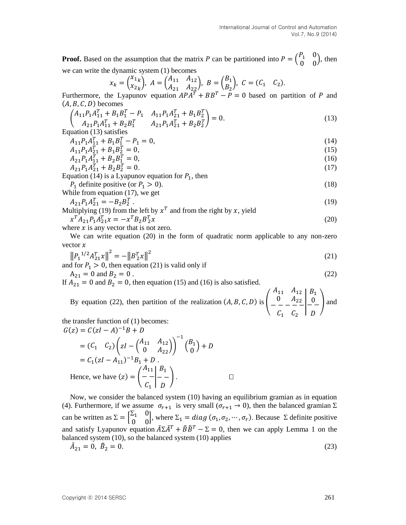**Proof.** Based on the assumption that the matrix P can be partitioned into  $P = \begin{pmatrix} P & P \\ P & Q \end{pmatrix}$  $\begin{pmatrix} 1 & 0 \\ 0 & 0 \end{pmatrix}$ , then we can write the dynamic system (1) becomes

$$
x_k = \begin{pmatrix} x_{1k} \\ x_{2k} \end{pmatrix}, A = \begin{pmatrix} A_{11} & A_{12} \\ A_{21} & A_{22} \end{pmatrix}, B = \begin{pmatrix} B_1 \\ B_2 \end{pmatrix}, C = (C_1 \quad C_2).
$$

Furthermore, the Lyapunov equation  $APA^T + BB^T - P = 0$  based on partition of P and  $(A, B, C, D)$  becomes

$$
\begin{pmatrix} A_{11}P_1A_{11}^T + B_1B_1^T - P_1 & A_{11}P_1A_{21}^T + B_1B_2^T \ A_{21}P_1A_{11}^T + B_2B_1^T & A_{21}P_1A_{21}^T + B_2B_2^T \end{pmatrix} = 0.
$$
\n(13)

Equation (13) satisfies

$$
A_{11}P_1A_{11}^T + B_1B_1^T - P_1 = 0,\t\t(14)
$$

$$
A_{11}P_1A_{21}^T + B_1B_2^T = 0,\t\t(15)
$$

$$
A_{21}P_1A_{11}^T + B_2B_1^T = 0,
$$
  
\n
$$
A_{11}P_1A_{11}^T + B_1B_{11}^T = 0
$$
\n(15)

$$
A_{21}P_1A_{21}^T + B_2B_2^T = 0.
$$
\n
$$
\text{using (14) is a Lumunary equation for } P_1 \text{ then}
$$
\n
$$
(17)
$$

Equation (14) is a Lyapunov equation for  $P_1$ , then

 $P_1$  definite positive (or  $P_1 > 0$ ). (18)

While from equation (17), we get  
\n
$$
A_{21}P_1A_{21}^T = -B_2B_2^T.
$$
\n(19)

Multiplying (19) from the left by  $x^T$  and from the right by x, yield  $x^T A_{21} P_1 A_{21}^T x = -x^T$  $\frac{T}{2} \chi$  (20)

where x is any vector that is not zero. 
$$
\begin{array}{l}\n\lambda \text{ } \lambda_1 \text{ } 1_1 \text{ } 1_2 \text{ } 1_3 \text{ } 1_4 \text{ } 1_5 \text{ } 1_6 \text{ } 1_7 \text{ } 1_8 \text{ } 1_9 \text{ } 1_1 \text{ } 1_2 \text{ } 1_3 \text{ } 1_4 \text{ } 1_5 \text{ } 1_6 \text{ } 1_7 \text{ } 1_7 \text{ } 1_8 \text{ } 1_7 \text{ } 1_8 \text{ } 1_9 \text{ } 1_9 \text{ } 1_1 \text{ } 1_1 \text{ } 1_2 \text{ } 1_3 \text{ } 1_1 \text{ } 1_2 \text{ } 1_3 \text{ } 1_1 \text{ } 1_2 \text{ } 1_3 \text{ } 1_3 \text{ } 1_1 \text{ } 1_2 \text{ } 1_3 \text{ } 1_3 \text{ } 1_3 \text{ } 1_3 \text{ } 1_3 \text{ } 1_3 \text{ } 1_3 \text{ } 1_3 \text{ } 1_3 \text{ } 1_3 \text{ } 1_3 \text{ } 1_3 \text{ } 1_3 \text{ } 1_3 \text{ } 1_3 \text{ } 1_3 \text{ } 1_3 \text{ } 1_3 \text{ } 1_3 \text{ } 1_3 \text{ } 1_3 \text{ } 1_3 \text{ } 1_3 \text{ } 1_3 \text{ } 1_3 \text{ } 1_3 \text{ } 1_3 \text{ } 1_3 \text{ } 1_3 \text{ } 1_3 \text{ } 1_3 \text{ } 1_3 \text{ } 1_3 \text{ } 1_3 \text{ } 1_3 \text{ } 1_3 \text{ } 1_3 \text{ } 1_3 \text{ } 1_3 \text{ } 1_3 \text{ } 1_3 \text{ } 1_3 \text{ } 1_3 \text{ } 1_3 \text{ } 1_3 \text{ } 1_3 \text{ } 1_3 \text{ } 1_3 \text{ } 1_3 \text{ } 1_3 \text{ } 1_3 \text{ } 1_3 \text{ } 1_3 \text{ } 1_3 \text{ } 1_3 \text{ } 1_3 \text{ }
$$

We can write equation (20) in the form of quadratic norm applicable to any non-zero vector  $x$ 

$$
||P_1^{1/2}A_{21}^T x||^2 = -||B_2^T x||^2
$$
\n
$$
||P_1^{1/2}A_{21}^T x||^2 = -||B_2^T x||^2
$$
\n(21)

and for 
$$
P_1 > 0
$$
, then equation (21) is valid only if  
\n $A_{21} = 0$  and  $B_2 = 0$ . (22)

If  $A_{21} = 0$  and  $B_2 = 0$ , then equation (15) and (16) is also satisfied.

By equation (22), then partition of the realization  $(A, B, C, D)$  is  $\overline{A}$  $\boldsymbol{0}$  $\overline{\phantom{0}}$  $\mathcal{C}_{0}^{2}$ | B  $\frac{0}{1}$ D ) and

the transfer function of (1) becomes:  $G(z) = C(zI - A)^{-1}$ 

$$
= (C_1 \t C_2) \left( zI - \begin{pmatrix} A_{11} & A_{12} \\ 0 & A_{22} \end{pmatrix} \right)^{-1} \begin{pmatrix} B_1 \\ 0 \end{pmatrix} + D
$$
  
=  $C_1 (zI - A_{11})^{-1}B_1 + D$ .  
Hence, we have  $(z) = \begin{pmatrix} A_{11} & B_1 \\ - & - \\ C_1 & D \end{pmatrix}$ .

Now, we consider the balanced system (10) having an equilibrium gramian as in equation (4). Furthermore, if we assume  $\sigma_{r+1}$  is very small  $(\sigma_{r+1} \to 0)$ , then the balanced gramian  $\Sigma$ can be written as  $\Sigma = \begin{bmatrix} \Sigma & \Sigma \end{bmatrix}$  $\begin{bmatrix} 21 & 0 \\ 0 & 0 \end{bmatrix}$ , where  $\Sigma_1 = diag(\sigma_1, \sigma_2, \cdots, \sigma_r)$ . Because  $\Sigma$  definite positive and satisfy Lyapunov equation  $\tilde{A} \Sigma \tilde{A}^T + \tilde{B} \tilde{B}^T - \Sigma = 0$ , then we can apply Lemma 1 on the balanced system (10), so the balanced system (10) applies

$$
\tilde{A}_{21} = 0, \ \tilde{B}_2 = 0. \tag{23}
$$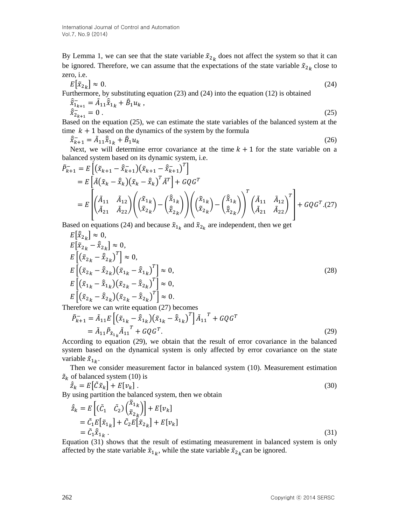By Lemma 1, we can see that the state variable  $\tilde{x}_{2k}$  does not affect the system so that it can be ignored. Therefore, we can assume that the expectations of the state variable  $\tilde{x}_{2_k}$  close to zero, i.e.

$$
E\left[\tilde{x}_{2_k}\right] \approx 0. \tag{24}
$$

Furthermore, by substituting equation (23) and (24) into the equation (12) is obtained

$$
\begin{aligned}\n\hat{x}_{1_{k+1}}^{\dagger} &= \tilde{A}_{11}\hat{x}_{1_k} + \tilde{B}_1 u_k, \\
\hat{x}_{2_{k+1}}^{\dagger} &= 0.\n\end{aligned} \tag{25}
$$

Based on the equation (25), we can estimate the state variables of the balanced system at the time  $k + 1$  based on the dynamics of the system by the formula

$$
\hat{\tilde{x}}_{k+1} = \tilde{A}_{11}\hat{\tilde{x}}_{1k} + \tilde{B}_1 u_k
$$
\n(26)

Next, we will determine error covariance at the time  $k + 1$  for the state variable on a balanced system based on its dynamic system, i.e.

$$
\tilde{P}_{k+1}^{-} = E \left[ (\tilde{x}_{k+1} - \hat{\tilde{x}}_{k+1}) (\tilde{x}_{k+1} - \hat{\tilde{x}}_{k+1})^{T} \right]
$$
\n
$$
= E \left[ \tilde{A} (\tilde{x}_{k} - \hat{\tilde{x}}_{k}) (\tilde{x}_{k} - \hat{\tilde{x}}_{k})^{T} \tilde{A}^{T} \right] + G Q G^{T}
$$
\n
$$
= E \left[ \left( \tilde{A}_{11} \quad \tilde{A}_{12} \right) \left( \left( \tilde{\tilde{x}}_{1k} \right) - \left( \hat{\tilde{x}}_{1k} \right) \right) \left( \left( \tilde{\tilde{x}}_{1k} \right) - \left( \hat{\tilde{x}}_{1k} \right) \right)^{T} \left( \tilde{A}_{11} \quad \tilde{A}_{12} \right)^{T} \right] + G Q G^{T} . (27)
$$

Based on equations (24) and because  $\tilde{x}_{1_k}$  and  $\tilde{x}_{2_k}$  are independent, then we get

$$
E\left[\hat{x}_{2k}\right] \approx 0,
$$
  
\n
$$
E\left[\tilde{x}_{2k} - \hat{x}_{2k}\right] \approx 0,
$$
  
\n
$$
E\left[\left(\tilde{x}_{2k} - \hat{x}_{2k}\right)^{T}\right] \approx 0,
$$
  
\n
$$
E\left[\left(\tilde{x}_{2k} - \hat{x}_{2k}\right)\left(\tilde{x}_{1k} - \hat{x}_{1k}\right)^{T}\right] \approx 0,
$$
  
\n
$$
E\left[\left(\tilde{x}_{1k} - \hat{x}_{1k}\right)\left(\tilde{x}_{2k} - \hat{x}_{2k}\right)^{T}\right] \approx 0,
$$
  
\n
$$
E\left[\left(\tilde{x}_{2k} - \hat{x}_{2k}\right)\left(\tilde{x}_{2k} - \hat{x}_{2k}\right)^{T}\right] \approx 0.
$$
  
\n(28)

Therefore we can write equation (27) becomes

$$
\tilde{P}_{k+1}^{-} = \tilde{A}_{11} E \left[ \left( \tilde{x}_{1_k} - \hat{\tilde{x}}_{1_k} \right) \left( \tilde{x}_{1_k} - \hat{\tilde{x}}_{1_k} \right)^T \right] \tilde{A}_{11}^T + G Q G^T
$$
\n
$$
= \tilde{A}_{11} \tilde{P}_{\tilde{x}_{1_k}} \tilde{A}_{11}^T + G Q G^T. \tag{29}
$$

According to equation (29), we obtain that the result of error covariance in the balanced system based on the dynamical system is only affected by error covariance on the state variable  $\tilde{x}_{1_k}$ .

Then we consider measurement factor in balanced system (10). Measurement estimation  $\tilde{z}_k$  of balanced system (10) is

$$
\hat{\tilde{z}}_k = E[\tilde{C}\tilde{x}_k] + E[v_k].
$$
\n(30)

\nUsing partition the balanced system then we obtain

By using partition the balanced system, then we obtain

$$
\begin{split} \hat{z}_k &= E\left[ (\tilde{C}_1 \quad \tilde{C}_2) \binom{\tilde{x}_{1k}}{\tilde{x}_{2k}} \right] + E[v_k] \\ &= \tilde{C}_1 E[\tilde{x}_{1k}] + \tilde{C}_2 E[\tilde{x}_{2k}] + E[v_k] \\ &= \tilde{C}_1 \hat{x}_{1k} \,. \end{split} \tag{31}
$$

Equation (31) shows that the result of estimating measurement in balanced system is only affected by the state variable  $\tilde{x}_{1_k}$ , while the state variable  $\tilde{x}_{2_k}$ can be ignored.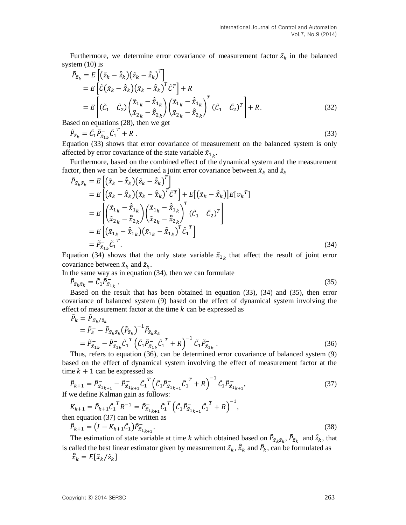Furthermore, we determine error covariance of measurement factor  $\tilde{z}_k$  in the balanced system  $(10)$  is

$$
\tilde{P}_{\tilde{z}_k} = E\left[ (\tilde{z}_k - \hat{\tilde{z}}_k)(\tilde{z}_k - \hat{\tilde{z}}_k)^T \right]
$$
\n
$$
= E\left[ \tilde{C}(\tilde{x}_k - \hat{\tilde{x}}_k)(\tilde{x}_k - \hat{\tilde{x}}_k)^T \tilde{C}^T \right] + R
$$
\n
$$
= E\left[ (\tilde{C}_1 - \tilde{C}_2)(\tilde{\tilde{x}}_{1k} - \hat{\tilde{x}}_{1k})(\tilde{\tilde{x}}_{1k} - \hat{\tilde{x}}_{1k})^T (\tilde{C}_1 - \tilde{C}_2)^T \right] + R.
$$
\nand on equations (38), then we set

\n
$$
P_{\tilde{z}_k} = \tilde{X}_{2k} - \tilde{\tilde{x}}_{2k}
$$
\n(32)

Based on equations (28), then we get

$$
\tilde{P}_{\tilde{z}_k} = \tilde{C}_1 \tilde{P}_{\tilde{x}_{1k}} \tilde{C}_1^T + R \tag{33}
$$

Equation (33) shows that error covariance of measurement on the balanced system is only affected by error covariance of the state variable  $\tilde{x}_{1_k}$ .

Furthermore, based on the combined effect of the dynamical system and the measurement factor, then we can be determined a joint error covariance between  $\tilde{x}_k$  and  $\tilde{z}_k$ 

$$
\tilde{P}_{\tilde{x}_k \tilde{z}_k} = E\left[ (\tilde{x}_k - \hat{\tilde{x}}_k)(\tilde{z}_k - \hat{\tilde{z}}_k)^T \right]
$$
\n
$$
= E\left[ (\tilde{x}_k - \hat{\tilde{x}}_k)(\tilde{x}_k - \hat{\tilde{x}}_k)^T \tilde{C}^T \right] + E\left[ (\tilde{x}_k - \hat{\tilde{x}}_k) \right] E[v_k^T]
$$
\n
$$
= E\left[ \left( \tilde{x}_{1k} - \hat{\tilde{x}}_{1k} \right) \left( \tilde{x}_{1k} - \hat{\tilde{x}}_{1k} \right)^T (\tilde{C}_1 - \tilde{C}_2)^T \right]
$$
\n
$$
= E\left[ (\tilde{x}_{1k} - \hat{\tilde{x}}_{1k})(\tilde{x}_{1k} - \hat{\tilde{x}}_{1k})^T \tilde{C}_1^T \right]
$$
\n
$$
= \tilde{P}_{\tilde{x}_{1k}} \tilde{C}_1^T.
$$
\n(34)

Equation (34) shows that the only state variable  $\tilde{x}_{1k}$  that affect the result of joint error covariance between  $\tilde{x}_k$  and  $\tilde{z}_k$ .

In the same way as in equation (34), then we can formulate  $\tilde{P}_{\tilde{z}_k\tilde{x}_k}=\tilde{C_1}\tilde{P}_{\tilde{x}_1}^{-}$ .  $(35)$ 

Based on the result that has been obtained in equation (33), (34) and (35), then error covariance of balanced system (9) based on the effect of dynamical system involving the effect of measurement factor at the time  $k$  can be expressed as

$$
\tilde{P}_{k} = \tilde{P}_{\tilde{x}_{k}/\tilde{z}_{k}} \n= \tilde{P}_{k}^{-} - \tilde{P}_{\tilde{x}_{k}\tilde{z}_{k}} (\tilde{P}_{\tilde{z}_{k}})^{-1} \tilde{P}_{\tilde{z}_{k}\tilde{x}_{k}} \n= \tilde{P}_{\tilde{x}_{1k}}^{-} - \tilde{P}_{\tilde{x}_{1k}}^{-} \tilde{C}_{1}^{T} (\tilde{C}_{1} \tilde{P}_{\tilde{x}_{1k}}^{-} \tilde{C}_{1}^{T} + R)^{-1} \tilde{C}_{1} \tilde{P}_{\tilde{x}_{1k}}.
$$
\n(36)

Thus, refers to equation (36), can be determined error covariance of balanced system (9) based on the effect of dynamical system involving the effect of measurement factor at the time  $k + 1$  can be expressed as

$$
\tilde{P}_{k+1} = \tilde{P}_{\tilde{x}_{1_{k+1}}} - \tilde{P}_{\tilde{x}_{1_{k+1}}} - \tilde{P}_{\tilde{x}_{1_{k+1}}} - \tilde{C}_1^T \left( \tilde{C}_1 \tilde{P}_{\tilde{x}_{1_{k+1}}} - \tilde{C}_1^T + R \right)^{-1} \tilde{C}_1 \tilde{P}_{\tilde{x}_{1_{k+1}}}.
$$
\nIf we define Kalman gain as follows:

$$
K_{k+1} = \tilde{P}_{k+1} \tilde{C}_1^T R^{-1} = \tilde{P}_{\tilde{x}_{1_{k+1}}}^{-} \tilde{C}_1^T \left( \tilde{C}_1 \tilde{P}_{\tilde{x}_{1_{k+1}}}^{-} \tilde{C}_1^T + R \right)^{-1},
$$
  
then equation (37) can be written as  

$$
\tilde{P}_{k+1} = (I - K_{k+1} \tilde{C}_1) \tilde{P}_{\tilde{x}_{1_{k+1}}}^{-}.
$$
 (38)

The estimation of state variable at time k which obtained based on  $\tilde{P}_{\tilde{x}_k \tilde{z}_k}$ ,  $\tilde{P}_{\tilde{z}_k}$  and  $\tilde{z}_k$ , that is called the best linear estimator given by measurement  $\tilde{z}_k$ ,  $\hat{x}_k$  and  $\tilde{P}_k$ , can be formulated as

$$
\hat{\tilde{x}}_k = E[\tilde{x}_k/\tilde{z}_k]
$$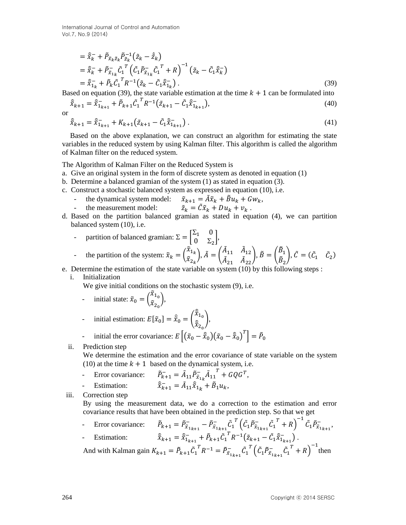International Journal of Control and Automation Vol.7, No.9 (2014)

$$
= \hat{\tilde{x}}_k^- + \tilde{P}_{\tilde{x}_k \tilde{z}_k} \tilde{P}_{\tilde{z}_k}^{-1} (\tilde{z}_k - \hat{\tilde{z}}_k)
$$
  
\n
$$
= \hat{\tilde{x}}_k^- + \tilde{P}_{\tilde{x}_{1_k}} \tilde{C}_1^T (\tilde{C}_1 \tilde{P}_{\tilde{x}_{1_k}} \tilde{C}_1^T + R)^{-1} (\tilde{z}_k - \tilde{C}_1 \hat{\tilde{x}}_k^-)
$$
  
\n
$$
= \hat{\tilde{x}}_{1_k}^- + \tilde{P}_k \tilde{C}_1^T R^{-1} (\tilde{z}_k - \tilde{C}_1 \hat{\tilde{x}}_{1_k}^-).
$$
\n(39)

Based on equation (39), the state variable estimation at the time  $k + 1$  can be formulated into

$$
\hat{\tilde{x}}_{k+1} = \hat{\tilde{x}}_{1_{k+1}}^- + \tilde{P}_{k+1} \tilde{C}_1^T R^{-1} \left( \tilde{z}_{k+1} - \tilde{C}_1 \hat{\tilde{x}}_{1_{k+1}}^- \right),\tag{40}
$$

or

$$
\hat{\tilde{x}}_{k+1} = \hat{\tilde{x}}_{1_{k+1}}^- + K_{k+1} (\tilde{z}_{k+1} - \tilde{C}_1 \hat{\tilde{x}}_{1_{k+1}}^-).
$$
\n(41)

Based on the above explanation, we can construct an algorithm for estimating the state variables in the reduced system by using Kalman filter. This algorithm is called the algorithm of Kalman filter on the reduced system.

#### The Algorithm of Kalman Filter on the Reduced System is

- a. Give an original system in the form of discrete system as denoted in equation (1)
- b. Determine a balanced gramian of the system (1) as stated in equation (3).
- c. Construct a stochastic balanced system as expressed in equation (10), i.e.
	- the dynamical system model:  $\tilde{x}_{k+1} = \tilde{A}\tilde{x}_k + \tilde{B}u_k + Gw_k$ ,<br>the measurement model:  $\tilde{z}_k = \tilde{C}\tilde{x}_k + Du_k + v_k$ .
	- $\tilde{z}_k = \tilde{C}\tilde{x}_k + Du_k + v_k$ .
- d. Based on the partition balanced gramian as stated in equation (4), we can partition balanced system (10), i.e.

partition of balanced gramian: 
$$
\Sigma = \begin{bmatrix} \Sigma_1 & 0 \\ 0 & \Sigma_2 \end{bmatrix}
$$
,  
the partition of the system:  $\tilde{x}_k = \begin{pmatrix} \tilde{x}_{1_k} \\ \tilde{x}_{2_k} \end{pmatrix}$ ,  $\tilde{A} = \begin{pmatrix} \tilde{A}_{11} & \tilde{A}_{12} \\ \tilde{A}_{21} & \tilde{A}_{22} \end{pmatrix}$ ,  $\tilde{B} = \begin{pmatrix} \tilde{B}_1 \\ \tilde{B}_2 \end{pmatrix}$ ,  $\tilde{C} = (\tilde{C}_1 \tilde{C}_2)$ 

e. Determine the estimation of the state variable on system (10) by this following steps :

i. Initialization

We give initial conditions on the stochastic system  $(9)$ , i.e.

- initial state:  $\tilde{x}_0 =$  (  $\tilde{x}_1$  $\left( \frac{1}{x_{2}}\right)$ ,

$$
\text{initial estimation: } E[\tilde{x}_0] = \hat{\tilde{x}}_0 = \begin{pmatrix} \hat{\tilde{x}}_{1_0} \\ \hat{\tilde{x}}_{2_0} \end{pmatrix},
$$

$$
\text{initial the error covariance: } E\left[ (\tilde{x}_0 - \hat{\tilde{x}}_0)(\tilde{x}_0 - \hat{\tilde{x}}_0)^T \right] = \tilde{P}_0
$$

ii. Prediction step

We determine the estimation and the error covariance of state variable on the system (10) at the time  $k + 1$  based on the dynamical system, i.e.

- Error covariance:  $\tilde{A}_{k+1} = \tilde{A}_{11} \tilde{P}_{\tilde{x}_{1k}}^{-} \tilde{A}_{1}$  $T + GQG^{T},$ Estimation:  $\bar{\hat{k}}_{k+1} = \tilde{A}_{11} \hat{\tilde{x}}_{1k} + \tilde{B}_{1} u_{k},$
- iii. Correction step

By using the measurement data, we do a correction to the estimation and error covariance results that have been obtained in the prediction step. So that we get

- Error covariance:  $\tilde{P}_{\tilde{x}_{1_{k+1}}} = \tilde{P}_{\tilde{x}_{1_{k+1}}} - \tilde{P}_{\tilde{x}_{1_{k+1}}} - \tilde{C}_{1}$  $^{T}\left( \tilde{C}_{1}\tilde{P}_{\tilde{\chi}_{1_{k+1}} }^{-} \tilde{C}_{1}\right)$  $\left( \begin{matrix} T \\ +R \end{matrix} \right)^{-1} \tilde{C}_1 \tilde{P}_{\tilde{x}_{1_{k+1}}}^{-1},$ Estimation:  $\hat{\tilde{x}}_{k+1} = \hat{\tilde{x}}_{1_{k+1}} - \tilde{P}_{k+1}\tilde{C}_1$  $^{T}R^{-1}(\tilde{z}_{k+1}-\tilde{C}_{1}\hat{\tilde{x}}_{1_{k+1}})$ .

And with Kalman gain  $K_{k+1} = \tilde{P}_{k+1} \tilde{C}_1$  ${}^{T}R^{-1} = \tilde{P}^{-}_{\tilde{x}_{1_{k+1}}} \tilde{C}_{1}$  $^{T}\left( \tilde{C}_{1}\tilde{P}_{\tilde{\chi}_{1_{k+1}} }^{-} \tilde{C}_{1}\right)$  $T + R$ <sup>-1</sup> then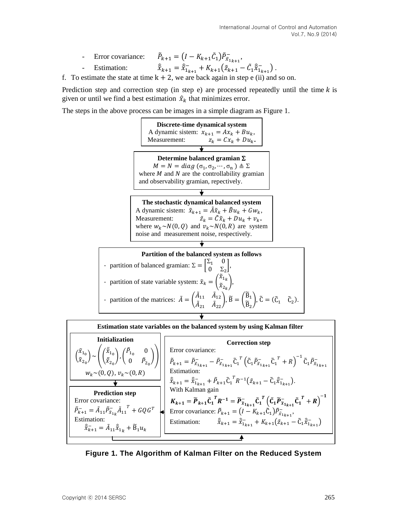- Error covariance:  $\tilde{P}_{k+1} = (I - K_{k+1}\tilde{C}_1)\tilde{P}_{\tilde{x}_{1_{k+1}}},$
- Estimation:  $k+1 = \hat{\tilde{x}}_{1_{k+1}}^- + K_{k+1}(\tilde{z}_{k+1} - \tilde{C}_1 \hat{\tilde{x}}_{1_{k+1}}^-).$

f. To estimate the state at time  $k + 2$ , we are back again in step e (ii) and so on.

Prediction step and correction step (in step e) are processed repeatedly until the time  $k$  is given or until we find a best estimation  $\hat{x}_k$  that minimizes error.

The steps in the above process can be images in a simple diagram as Figure 1.





**Figure 1. The Algorithm of Kalman Filter on the Reduced System**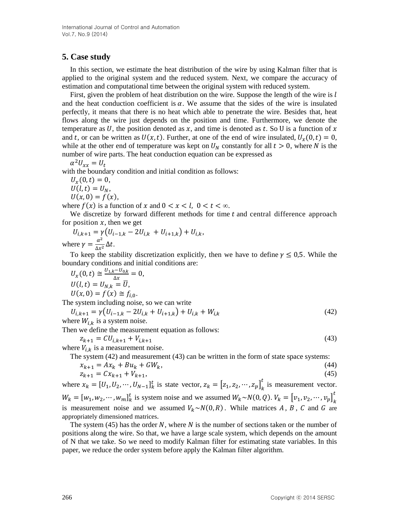## **5. Case study**

In this section, we estimate the heat distribution of the wire by using Kalman filter that is applied to the original system and the reduced system. Next, we compare the accuracy of estimation and computational time between the original system with reduced system.

First, given the problem of heat distribution on the wire. Suppose the length of the wire is  $l$ and the heat conduction coefficient is  $\alpha$ . We assume that the sides of the wire is insulated perfectly, it means that there is no heat which able to penetrate the wire. Besides that, heat flows along the wire just depends on the position and time. Furthermore, we denote the temperature as U, the position denoted as x, and time is denoted as t. So U is a function of x and t, or can be written as  $U(x, t)$ . Further, at one of the end of wire insulated,  $U_x(0, t) = 0$ , while at the other end of temperature was kept on  $U_N$  constantly for all  $t > 0$ , where N is the number of wire parts. The heat conduction equation can be expressed as

$$
\alpha^2 U_{xx} = U_t
$$

with the boundary condition and initial condition as follows:

 $U_x(0,t) = 0,$  $U(l, t) = U_N$ ,  $U(x, 0) = f(x),$ 

where  $f(x)$  is a function of x and  $0 < x < l$ ,  $0 < t < \infty$ .

We discretize by forward different methods for time  $t$  and central difference approach for position  $x$ , then we get

$$
U_{i,k+1} = \gamma (U_{i-1,k} - 2U_{i,k} + U_{i+1,k}) + U_{i,k},
$$
  
where  $\gamma = \frac{\alpha^2}{\Delta x^2} \Delta t$ .

To keep the stability discretization explicitly, then we have to define  $\gamma \leq 0.5$ . While the boundary conditions and initial conditions are:

$$
U_x(0,t) \cong \frac{U_{1,k}-U_{0,k}}{\Delta x} = 0,
$$
  
 
$$
U(l,t) = U_{N,k} = \overline{U},
$$
  
 
$$
U(x,0) = f(x) \cong f_{i,0}.
$$

The system including noise, so we can write

 $U_{i,k+1} = \gamma \big( U_{i-1,k} - 2U_{i,k} + U_{i+1,k} \big) + U_{i,k} + W_{i,k}$  (42) where  $W_{i,k}$  is a system noise.

Then we define the measurement equation as follows:

$$
z_{k+1} = CU_{i,k+1} + V_{i,k+1}
$$
\n(43)

where  $V_{i,k}$  is a measurement noise.

The system (42) and measurement (43) can be written in the form of state space systems:

$$
x_{k+1} = Ax_k + Bu_k + GW_k,
$$
  
\n
$$
z_{k+1} = Cx_{k+1} + V_{k+1},
$$
\n(44)

where  $x_k = [U_1, U_2, \dots, U_{N-1}]_k^{\dagger}$  is state vector,  $z_k = [z_1, z_2, \dots, z_p]_k^{\dagger}$  $\frac{t}{t}$  is measurement vector.  $W_k = [w_1, w_2, \cdots, w_m]_k^t$  is system noise and we assumed  $W_k \sim N(0, Q)$ .  $V_k = [v_1, v_2, \cdots, v_p]_k^t$ t is measurement noise and we assumed  $V_k \sim N(0, R)$ . While matrices A, B, C and G are appropriately dimensioned matrices.

The system (45) has the order N, where N is the number of sections taken or the number of positions along the wire. So that, we have a large scale system, which depends on the amount of N that we take. So we need to modify Kalman filter for estimating state variables. In this paper, we reduce the order system before apply the Kalman filter algorithm.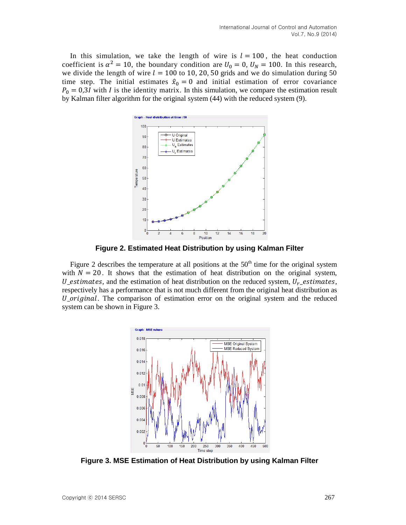In this simulation, we take the length of wire is  $l = 100$ , the heat conduction coefficient is  $\alpha^2 = 10$ , the boundary condition are  $U_0 = 0$ ,  $U_N = 100$ . In this research, we divide the length of wire  $l = 100$  to 10, 20, 50 grids and we do simulation during 50 time step. The initial estimates  $\hat{x}_0 = 0$  and initial estimation of error covariance  $P_0 = 0.3I$  with I is the identity matrix. In this simulation, we compare the estimation result by Kalman filter algorithm for the original system (44) with the reduced system (9).



**Figure 2. Estimated Heat Distribution by using Kalman Filter**

Figure 2 describes the temperature at all positions at the  $50<sup>th</sup>$  time for the original system with  $N = 20$ . It shows that the estimation of heat distribution on the original system, U\_estimates, and the estimation of heat distribution on the reduced system,  $U_r$ \_estimates, respectively has a performance that is not much different from the original heat distribution as  $U$ <sub>original</sub>. The comparison of estimation error on the original system and the reduced system can be shown in Figure 3.



**Figure 3. MSE Estimation of Heat Distribution by using Kalman Filter**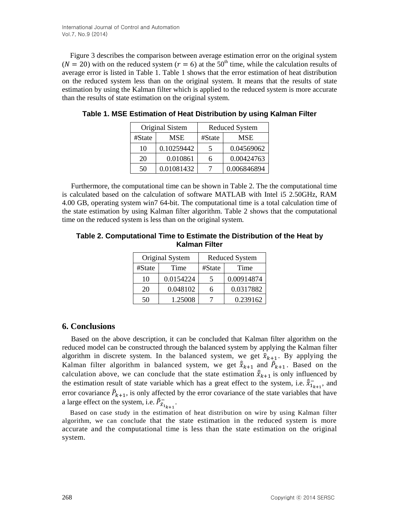Figure 3 describes the comparison between average estimation error on the original system ( $N = 20$ ) with on the reduced system ( $r = 6$ ) at the 50<sup>th</sup> time, while the calculation results of average error is listed in Table 1. Table 1 shows that the error estimation of heat distribution on the reduced system less than on the original system. It means that the results of state estimation by using the Kalman filter which is applied to the reduced system is more accurate than the results of state estimation on the original system.

| Original Sistem |            | <b>Reduced System</b> |             |
|-----------------|------------|-----------------------|-------------|
| #State          | MSE        | #State                | MSE         |
| 10              | 0.10259442 |                       | 0.04569062  |
| 20              | 0.010861   |                       | 0.00424763  |
| 50              | 0.01081432 |                       | 0.006846894 |

**Table 1. MSE Estimation of Heat Distribution by using Kalman Filter** 

Furthermore, the computational time can be shown in Table 2. The the computational time is calculated based on the calculation of software MATLAB with Intel i5 2.50GHz, RAM 4.00 GB, operating system win7 64-bit. The computational time is a total calculation time of the state estimation by using Kalman filter algorithm. Table 2 shows that the computational time on the reduced system is less than on the original system.

**Table 2. Computational Time to Estimate the Distribution of the Heat by Kalman Filter**

| Original System |           | <b>Reduced System</b> |            |
|-----------------|-----------|-----------------------|------------|
| #State          | Time      | #State                | Time       |
| 10              | 0.0154224 | 5                     | 0.00914874 |
| 20              | 0.048102  | 6                     | 0.0317882  |
| 50              | 1.25008   |                       | 0.239162   |

## **6. Conclusions**

Based on the above description, it can be concluded that Kalman filter algorithm on the reduced model can be constructed through the balanced system by applying the Kalman filter algorithm in discrete system. In the balanced system, we get  $\tilde{x}_{k+1}$ . By applying the Kalman filter algorithm in balanced system, we get  $\hat{\tilde{x}}_{k+1}$  and  $\tilde{P}_{k+1}$ . Based on the calculation above, we can conclude that the state estimation  $\hat{x}_{k+1}$  is only influenced by the estimation result of state variable which has a great effect to the system, i.e.  $\hat{\tilde{x}}_{1_{k+1}}$ , and error covariance  $\tilde{P}_{k+1}$ , is only affected by the error covariance of the state variables that have a large effect on the system, i.e.  $\tilde{P}^{-}_{\tilde{X}_{1_{k+1}}}$ .

Based on case study in the estimation of heat distribution on wire by using Kalman filter algorithm, we can conclude that the state estimation in the reduced system is more accurate and the computational time is less than the state estimation on the original system.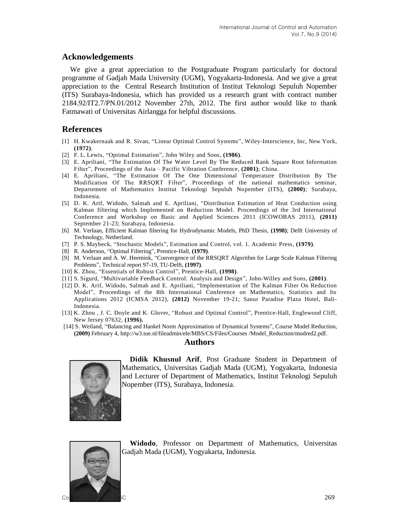## **Acknowledgements**

We give a great appreciation to the Postgraduate Program particularly for doctoral programme of Gadjah Mada University (UGM), Yogyakarta-Indonesia. And we give a great appreciation to the Central Research Institution of Institut Teknologi Sepuluh Nopember (ITS) Surabaya-Indonesia, which has provided us a research grant with contract number 2184.92/IT2.7/PN.01/2012 November 27th, 2012. The first author would like to thank Fatmawati of Universitas Airlangga for helpful discussions.

## **References**

- [1] H. Kwakernaak and R. Sivan, "Linear Optimal Control Systems", Wiley-Interscience, Inc, New York, **(1972)**.
- [2] F. L. Lewis, "Optimal Estimation", John Wiley and Sons, **(1986)**.
- [3] E. Apriliani, "The Estimation Of The Water Level By The Reduced Rank Square Root Information Filter", Proceedings of the Asia – Pacific Vibration Conference, **(2001)**; China.
- [4] E. Apriliani, "The Estimation Of The One Dimensional Temperature Distribution By The Modification Of The RRSQRT Filter", Proceedings of the national mathematics seminar, Departement of Mathematics Institut Teknologi Sepuluh Nopember (ITS), **(2000)**; Surabaya, Indonesia.
- [5] D. K. Arif, Widodo, Salmah and E. Apriliani, "Distribution Estimation of Heat Conduction using Kalman filtering which Implemented on Reduction Model. Proceedings of the 3rd International Conference and Workshop on Basic and Applied Sciences 2011 (ICOWOBAS 2011), **(2011)** September 21-23; Surabaya, Indonesia.
- [6] M. Verlaan, Efficient Kalman filtering for Hydrodynamic Models, PhD Thesis, **(1998)**; Delft University of Technology, Netherland.
- [7] P. S. Maybeck, "Stochastic Models", Estimation and Control, vol. 1. Academic Press, **(1979)**.
- [8] R. Anderson, "Optimal Filtering", Prentice-Hall, **(1979)**.
- [9] M. Verlaan and A. W. Heemink, "Convergence of the RRSQRT Algorithm for Large Scale Kalman Filtering Problems", Technical report 97-19, TU-Delft, **(1997)**.
- [10] K. Zhou, "Essentials of Robust Control", Prentice-Hall, **(1998)**.
- [11] S. Sigurd, "Multivariable Feedback Control: Analysis and Design", John-Willey and Sons, **(2001)**.
- [12] D. K. Arif, Widodo, Salmah and E. Apriliani, "Implementation of The Kalman Filter On Reduction Model", Proceedings of the 8th International Conference on Mathematics, Statistics and Its Applications 2012 (ICMSA 2012), **(2012)** November 19-21; Sanur Paradise Plaza Hotel, Bali-Indonesia.
- [13] K. Zhou , J. C. Doyle and K. Glover, "Robust and Optimal Control", Prentice-Hall, Englewood Cliff, New Jersey 07632, **(1996).**
- [14] S. Weiland, "Balancing and Hankel Norm Approximation of Dynamical Systems", Course Model Reduction, **(2009)** February 4, [http://w3.tue.nl/fileadmin/ele/MBS/CS/Files/Courses /Model\\_Reduction/modred2.pdf.](http://w3.tue.nl/fileadmin/ele/MBS/CS/Files/Courses%20/Model_Reduction/modred2.pdf)

#### **Authors**



**Didik Khusnul Arif**, Post Graduate Student in Department of Mathematics, Universitas Gadjah Mada (UGM), Yogyakarta, Indonesia and Lecturer of Department of Mathematics, Institut Teknologi Sepuluh Nopember (ITS), Surabaya, Indonesia.



**Widodo**, Professor on Department of Mathematics, Universitas Gadjah Mada (UGM), Yogyakarta, Indonesia.